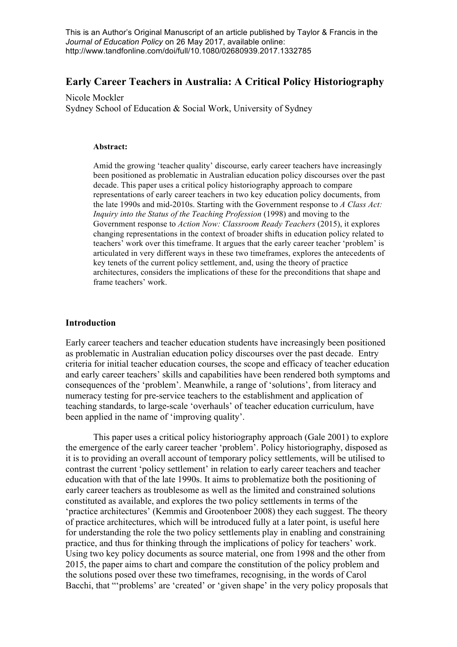# **Early Career Teachers in Australia: A Critical Policy Historiography**

Nicole Mockler

Sydney School of Education & Social Work, University of Sydney

## **Abstract:**

Amid the growing 'teacher quality' discourse, early career teachers have increasingly been positioned as problematic in Australian education policy discourses over the past decade. This paper uses a critical policy historiography approach to compare representations of early career teachers in two key education policy documents, from the late 1990s and mid-2010s. Starting with the Government response to *A Class Act: Inquiry into the Status of the Teaching Profession* (1998) and moving to the Government response to *Action Now: Classroom Ready Teachers* (2015), it explores changing representations in the context of broader shifts in education policy related to teachers' work over this timeframe. It argues that the early career teacher 'problem' is articulated in very different ways in these two timeframes, explores the antecedents of key tenets of the current policy settlement, and, using the theory of practice architectures, considers the implications of these for the preconditions that shape and frame teachers' work.

# **Introduction**

Early career teachers and teacher education students have increasingly been positioned as problematic in Australian education policy discourses over the past decade. Entry criteria for initial teacher education courses, the scope and efficacy of teacher education and early career teachers' skills and capabilities have been rendered both symptoms and consequences of the 'problem'. Meanwhile, a range of 'solutions', from literacy and numeracy testing for pre-service teachers to the establishment and application of teaching standards, to large-scale 'overhauls' of teacher education curriculum, have been applied in the name of 'improving quality'.

This paper uses a critical policy historiography approach (Gale 2001) to explore the emergence of the early career teacher 'problem'. Policy historiography, disposed as it is to providing an overall account of temporary policy settlements, will be utilised to contrast the current 'policy settlement' in relation to early career teachers and teacher education with that of the late 1990s. It aims to problematize both the positioning of early career teachers as troublesome as well as the limited and constrained solutions constituted as available, and explores the two policy settlements in terms of the 'practice architectures' (Kemmis and Grootenboer 2008) they each suggest. The theory of practice architectures, which will be introduced fully at a later point, is useful here for understanding the role the two policy settlements play in enabling and constraining practice, and thus for thinking through the implications of policy for teachers' work. Using two key policy documents as source material, one from 1998 and the other from 2015, the paper aims to chart and compare the constitution of the policy problem and the solutions posed over these two timeframes, recognising, in the words of Carol Bacchi, that "'problems' are 'created' or 'given shape' in the very policy proposals that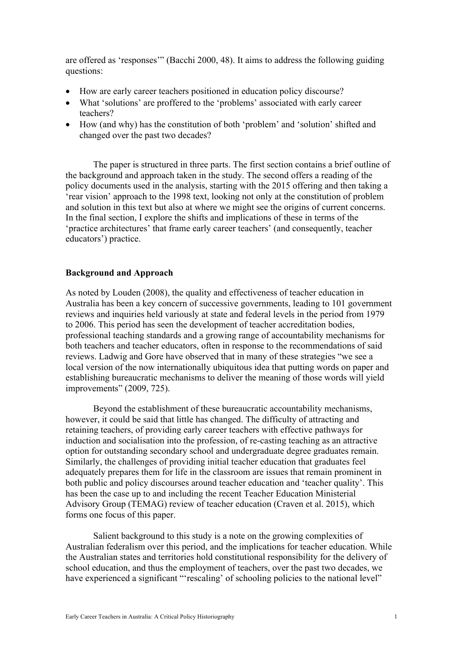are offered as 'responses'" (Bacchi 2000, 48). It aims to address the following guiding questions:

- How are early career teachers positioned in education policy discourse?
- What 'solutions' are proffered to the 'problems' associated with early career teachers?
- How (and why) has the constitution of both 'problem' and 'solution' shifted and changed over the past two decades?

The paper is structured in three parts. The first section contains a brief outline of the background and approach taken in the study. The second offers a reading of the policy documents used in the analysis, starting with the 2015 offering and then taking a 'rear vision' approach to the 1998 text, looking not only at the constitution of problem and solution in this text but also at where we might see the origins of current concerns. In the final section, I explore the shifts and implications of these in terms of the 'practice architectures' that frame early career teachers' (and consequently, teacher educators') practice.

## **Background and Approach**

As noted by Louden (2008), the quality and effectiveness of teacher education in Australia has been a key concern of successive governments, leading to 101 government reviews and inquiries held variously at state and federal levels in the period from 1979 to 2006. This period has seen the development of teacher accreditation bodies, professional teaching standards and a growing range of accountability mechanisms for both teachers and teacher educators, often in response to the recommendations of said reviews. Ladwig and Gore have observed that in many of these strategies "we see a local version of the now internationally ubiquitous idea that putting words on paper and establishing bureaucratic mechanisms to deliver the meaning of those words will yield improvements" (2009, 725).

Beyond the establishment of these bureaucratic accountability mechanisms, however, it could be said that little has changed. The difficulty of attracting and retaining teachers, of providing early career teachers with effective pathways for induction and socialisation into the profession, of re-casting teaching as an attractive option for outstanding secondary school and undergraduate degree graduates remain. Similarly, the challenges of providing initial teacher education that graduates feel adequately prepares them for life in the classroom are issues that remain prominent in both public and policy discourses around teacher education and 'teacher quality'. This has been the case up to and including the recent Teacher Education Ministerial Advisory Group (TEMAG) review of teacher education (Craven et al. 2015), which forms one focus of this paper.

Salient background to this study is a note on the growing complexities of Australian federalism over this period, and the implications for teacher education. While the Australian states and territories hold constitutional responsibility for the delivery of school education, and thus the employment of teachers, over the past two decades, we have experienced a significant "'rescaling' of schooling policies to the national level"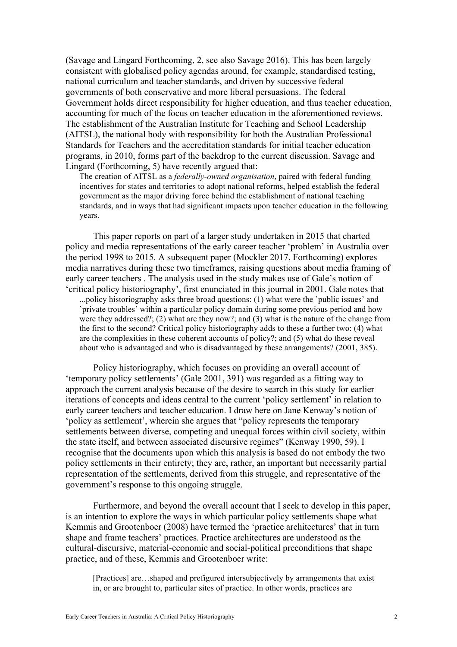(Savage and Lingard Forthcoming, 2, see also Savage 2016). This has been largely consistent with globalised policy agendas around, for example, standardised testing, national curriculum and teacher standards, and driven by successive federal governments of both conservative and more liberal persuasions. The federal Government holds direct responsibility for higher education, and thus teacher education, accounting for much of the focus on teacher education in the aforementioned reviews. The establishment of the Australian Institute for Teaching and School Leadership (AITSL), the national body with responsibility for both the Australian Professional Standards for Teachers and the accreditation standards for initial teacher education programs, in 2010, forms part of the backdrop to the current discussion. Savage and Lingard (Forthcoming, 5) have recently argued that:

The creation of AITSL as a *federally-owned organisation*, paired with federal funding incentives for states and territories to adopt national reforms, helped establish the federal government as the major driving force behind the establishment of national teaching standards, and in ways that had significant impacts upon teacher education in the following years.

This paper reports on part of a larger study undertaken in 2015 that charted policy and media representations of the early career teacher 'problem' in Australia over the period 1998 to 2015. A subsequent paper (Mockler 2017, Forthcoming) explores media narratives during these two timeframes, raising questions about media framing of early career teachers . The analysis used in the study makes use of Gale's notion of 'critical policy historiography', first enunciated in this journal in 2001. Gale notes that ...policy historiography asks three broad questions: (1) what were the `public issues' and `private troubles' within a particular policy domain during some previous period and how were they addressed?; (2) what are they now?; and (3) what is the nature of the change from the first to the second? Critical policy historiography adds to these a further two: (4) what are the complexities in these coherent accounts of policy?; and (5) what do these reveal about who is advantaged and who is disadvantaged by these arrangements? (2001, 385).

Policy historiography, which focuses on providing an overall account of 'temporary policy settlements' (Gale 2001, 391) was regarded as a fitting way to approach the current analysis because of the desire to search in this study for earlier iterations of concepts and ideas central to the current 'policy settlement' in relation to early career teachers and teacher education. I draw here on Jane Kenway's notion of 'policy as settlement', wherein she argues that "policy represents the temporary settlements between diverse, competing and unequal forces within civil society, within the state itself, and between associated discursive regimes" (Kenway 1990, 59). I recognise that the documents upon which this analysis is based do not embody the two policy settlements in their entirety; they are, rather, an important but necessarily partial representation of the settlements, derived from this struggle, and representative of the government's response to this ongoing struggle.

Furthermore, and beyond the overall account that I seek to develop in this paper, is an intention to explore the ways in which particular policy settlements shape what Kemmis and Grootenboer (2008) have termed the 'practice architectures' that in turn shape and frame teachers' practices. Practice architectures are understood as the cultural-discursive, material-economic and social-political preconditions that shape practice, and of these, Kemmis and Grootenboer write:

[Practices] are…shaped and prefigured intersubjectively by arrangements that exist in, or are brought to, particular sites of practice. In other words, practices are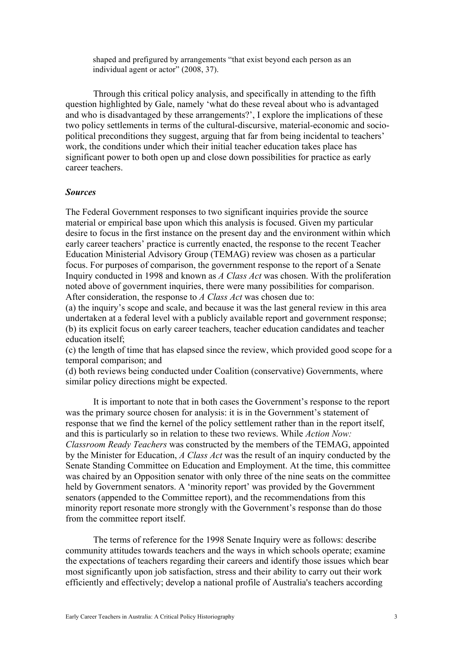shaped and prefigured by arrangements "that exist beyond each person as an individual agent or actor" (2008, 37).

Through this critical policy analysis, and specifically in attending to the fifth question highlighted by Gale, namely 'what do these reveal about who is advantaged and who is disadvantaged by these arrangements?', I explore the implications of these two policy settlements in terms of the cultural-discursive, material-economic and sociopolitical preconditions they suggest, arguing that far from being incidental to teachers' work, the conditions under which their initial teacher education takes place has significant power to both open up and close down possibilities for practice as early career teachers.

## *Sources*

The Federal Government responses to two significant inquiries provide the source material or empirical base upon which this analysis is focused. Given my particular desire to focus in the first instance on the present day and the environment within which early career teachers' practice is currently enacted, the response to the recent Teacher Education Ministerial Advisory Group (TEMAG) review was chosen as a particular focus. For purposes of comparison, the government response to the report of a Senate Inquiry conducted in 1998 and known as *A Class Act* was chosen. With the proliferation noted above of government inquiries, there were many possibilities for comparison. After consideration, the response to *A Class Act* was chosen due to:

(a) the inquiry's scope and scale, and because it was the last general review in this area undertaken at a federal level with a publicly available report and government response; (b) its explicit focus on early career teachers, teacher education candidates and teacher education itself;

(c) the length of time that has elapsed since the review, which provided good scope for a temporal comparison; and

(d) both reviews being conducted under Coalition (conservative) Governments, where similar policy directions might be expected.

It is important to note that in both cases the Government's response to the report was the primary source chosen for analysis: it is in the Government's statement of response that we find the kernel of the policy settlement rather than in the report itself, and this is particularly so in relation to these two reviews. While *Action Now: Classroom Ready Teachers* was constructed by the members of the TEMAG, appointed by the Minister for Education, *A Class Act* was the result of an inquiry conducted by the Senate Standing Committee on Education and Employment. At the time, this committee was chaired by an Opposition senator with only three of the nine seats on the committee held by Government senators. A 'minority report' was provided by the Government senators (appended to the Committee report), and the recommendations from this minority report resonate more strongly with the Government's response than do those from the committee report itself.

The terms of reference for the 1998 Senate Inquiry were as follows: describe community attitudes towards teachers and the ways in which schools operate; examine the expectations of teachers regarding their careers and identify those issues which bear most significantly upon job satisfaction, stress and their ability to carry out their work efficiently and effectively; develop a national profile of Australia's teachers according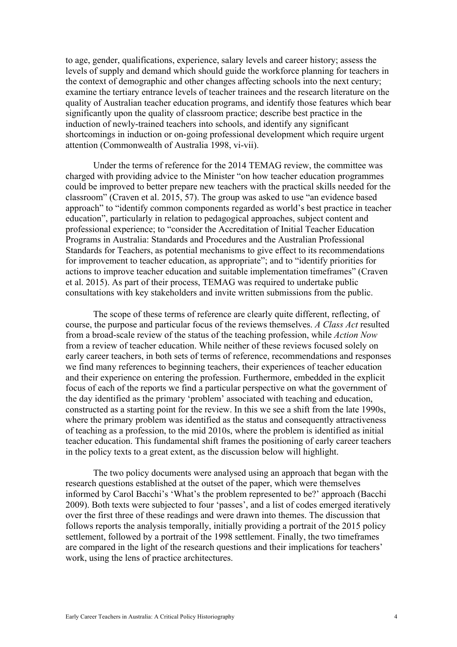to age, gender, qualifications, experience, salary levels and career history; assess the levels of supply and demand which should guide the workforce planning for teachers in the context of demographic and other changes affecting schools into the next century; examine the tertiary entrance levels of teacher trainees and the research literature on the quality of Australian teacher education programs, and identify those features which bear significantly upon the quality of classroom practice; describe best practice in the induction of newly-trained teachers into schools, and identify any significant shortcomings in induction or on-going professional development which require urgent attention (Commonwealth of Australia 1998, vi-vii).

Under the terms of reference for the 2014 TEMAG review, the committee was charged with providing advice to the Minister "on how teacher education programmes could be improved to better prepare new teachers with the practical skills needed for the classroom" (Craven et al. 2015, 57). The group was asked to use "an evidence based approach" to "identify common components regarded as world's best practice in teacher education", particularly in relation to pedagogical approaches, subject content and professional experience; to "consider the Accreditation of Initial Teacher Education Programs in Australia: Standards and Procedures and the Australian Professional Standards for Teachers, as potential mechanisms to give effect to its recommendations for improvement to teacher education, as appropriate"; and to "identify priorities for actions to improve teacher education and suitable implementation timeframes" (Craven et al. 2015). As part of their process, TEMAG was required to undertake public consultations with key stakeholders and invite written submissions from the public.

The scope of these terms of reference are clearly quite different, reflecting, of course, the purpose and particular focus of the reviews themselves. *A Class Act* resulted from a broad-scale review of the status of the teaching profession, while *Action Now* from a review of teacher education. While neither of these reviews focused solely on early career teachers, in both sets of terms of reference, recommendations and responses we find many references to beginning teachers, their experiences of teacher education and their experience on entering the profession. Furthermore, embedded in the explicit focus of each of the reports we find a particular perspective on what the government of the day identified as the primary 'problem' associated with teaching and education, constructed as a starting point for the review. In this we see a shift from the late 1990s, where the primary problem was identified as the status and consequently attractiveness of teaching as a profession, to the mid 2010s, where the problem is identified as initial teacher education. This fundamental shift frames the positioning of early career teachers in the policy texts to a great extent, as the discussion below will highlight.

The two policy documents were analysed using an approach that began with the research questions established at the outset of the paper, which were themselves informed by Carol Bacchi's 'What's the problem represented to be?' approach (Bacchi 2009). Both texts were subjected to four 'passes', and a list of codes emerged iteratively over the first three of these readings and were drawn into themes. The discussion that follows reports the analysis temporally, initially providing a portrait of the 2015 policy settlement, followed by a portrait of the 1998 settlement. Finally, the two timeframes are compared in the light of the research questions and their implications for teachers' work, using the lens of practice architectures.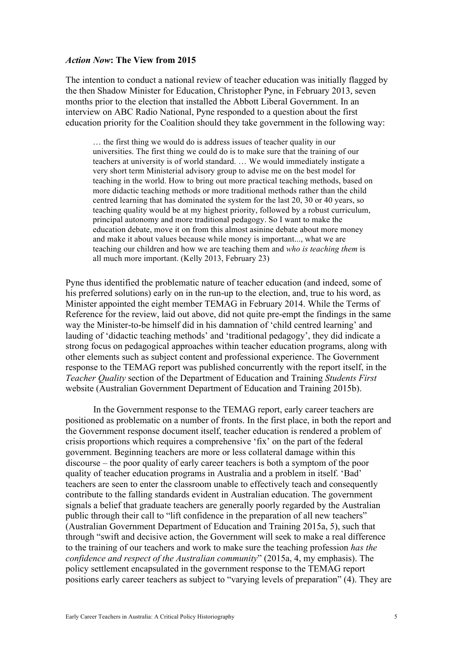## *Action Now***: The View from 2015**

The intention to conduct a national review of teacher education was initially flagged by the then Shadow Minister for Education, Christopher Pyne, in February 2013, seven months prior to the election that installed the Abbott Liberal Government. In an interview on ABC Radio National, Pyne responded to a question about the first education priority for the Coalition should they take government in the following way:

… the first thing we would do is address issues of teacher quality in our universities. The first thing we could do is to make sure that the training of our teachers at university is of world standard. … We would immediately instigate a very short term Ministerial advisory group to advise me on the best model for teaching in the world. How to bring out more practical teaching methods, based on more didactic teaching methods or more traditional methods rather than the child centred learning that has dominated the system for the last 20, 30 or 40 years, so teaching quality would be at my highest priority, followed by a robust curriculum, principal autonomy and more traditional pedagogy. So I want to make the education debate, move it on from this almost asinine debate about more money and make it about values because while money is important..., what we are teaching our children and how we are teaching them and *who is teaching them* is all much more important. (Kelly 2013, February 23)

Pyne thus identified the problematic nature of teacher education (and indeed, some of his preferred solutions) early on in the run-up to the election, and, true to his word, as Minister appointed the eight member TEMAG in February 2014. While the Terms of Reference for the review, laid out above, did not quite pre-empt the findings in the same way the Minister-to-be himself did in his damnation of 'child centred learning' and lauding of 'didactic teaching methods' and 'traditional pedagogy', they did indicate a strong focus on pedagogical approaches within teacher education programs, along with other elements such as subject content and professional experience. The Government response to the TEMAG report was published concurrently with the report itself, in the *Teacher Quality* section of the Department of Education and Training *Students First* website (Australian Government Department of Education and Training 2015b).

In the Government response to the TEMAG report, early career teachers are positioned as problematic on a number of fronts. In the first place, in both the report and the Government response document itself, teacher education is rendered a problem of crisis proportions which requires a comprehensive 'fix' on the part of the federal government. Beginning teachers are more or less collateral damage within this discourse – the poor quality of early career teachers is both a symptom of the poor quality of teacher education programs in Australia and a problem in itself. 'Bad' teachers are seen to enter the classroom unable to effectively teach and consequently contribute to the falling standards evident in Australian education. The government signals a belief that graduate teachers are generally poorly regarded by the Australian public through their call to "lift confidence in the preparation of all new teachers" (Australian Government Department of Education and Training 2015a, 5), such that through "swift and decisive action, the Government will seek to make a real difference to the training of our teachers and work to make sure the teaching profession *has the confidence and respect of the Australian community*" (2015a, 4, my emphasis). The policy settlement encapsulated in the government response to the TEMAG report positions early career teachers as subject to "varying levels of preparation" (4). They are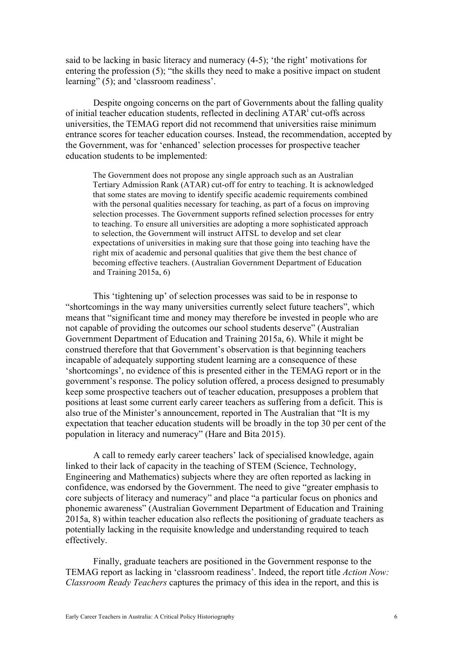said to be lacking in basic literacy and numeracy (4-5); 'the right' motivations for entering the profession (5); "the skills they need to make a positive impact on student learning" (5); and 'classroom readiness'.

Despite ongoing concerns on the part of Governments about the falling quality of initial teacher education students, reflected in declining ATAR<sup>i</sup> cut-offs across universities, the TEMAG report did not recommend that universities raise minimum entrance scores for teacher education courses. Instead, the recommendation, accepted by the Government, was for 'enhanced' selection processes for prospective teacher education students to be implemented:

The Government does not propose any single approach such as an Australian Tertiary Admission Rank (ATAR) cut-off for entry to teaching. It is acknowledged that some states are moving to identify specific academic requirements combined with the personal qualities necessary for teaching, as part of a focus on improving selection processes. The Government supports refined selection processes for entry to teaching. To ensure all universities are adopting a more sophisticated approach to selection, the Government will instruct AITSL to develop and set clear expectations of universities in making sure that those going into teaching have the right mix of academic and personal qualities that give them the best chance of becoming effective teachers. (Australian Government Department of Education and Training 2015a, 6)

This 'tightening up' of selection processes was said to be in response to "shortcomings in the way many universities currently select future teachers", which means that "significant time and money may therefore be invested in people who are not capable of providing the outcomes our school students deserve" (Australian Government Department of Education and Training 2015a, 6). While it might be construed therefore that that Government's observation is that beginning teachers incapable of adequately supporting student learning are a consequence of these 'shortcomings', no evidence of this is presented either in the TEMAG report or in the government's response. The policy solution offered, a process designed to presumably keep some prospective teachers out of teacher education, presupposes a problem that positions at least some current early career teachers as suffering from a deficit. This is also true of the Minister's announcement, reported in The Australian that "It is my expectation that teacher education students will be broadly in the top 30 per cent of the population in literacy and numeracy" (Hare and Bita 2015).

A call to remedy early career teachers' lack of specialised knowledge, again linked to their lack of capacity in the teaching of STEM (Science, Technology, Engineering and Mathematics) subjects where they are often reported as lacking in confidence, was endorsed by the Government. The need to give "greater emphasis to core subjects of literacy and numeracy" and place "a particular focus on phonics and phonemic awareness" (Australian Government Department of Education and Training 2015a, 8) within teacher education also reflects the positioning of graduate teachers as potentially lacking in the requisite knowledge and understanding required to teach effectively.

Finally, graduate teachers are positioned in the Government response to the TEMAG report as lacking in 'classroom readiness'. Indeed, the report title *Action Now: Classroom Ready Teachers* captures the primacy of this idea in the report, and this is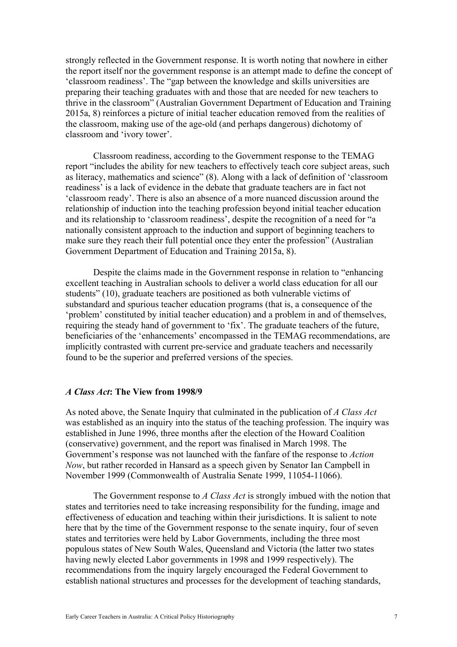strongly reflected in the Government response. It is worth noting that nowhere in either the report itself nor the government response is an attempt made to define the concept of 'classroom readiness'. The "gap between the knowledge and skills universities are preparing their teaching graduates with and those that are needed for new teachers to thrive in the classroom" (Australian Government Department of Education and Training 2015a, 8) reinforces a picture of initial teacher education removed from the realities of the classroom, making use of the age-old (and perhaps dangerous) dichotomy of classroom and 'ivory tower'.

Classroom readiness, according to the Government response to the TEMAG report "includes the ability for new teachers to effectively teach core subject areas, such as literacy, mathematics and science" (8). Along with a lack of definition of 'classroom readiness' is a lack of evidence in the debate that graduate teachers are in fact not 'classroom ready'. There is also an absence of a more nuanced discussion around the relationship of induction into the teaching profession beyond initial teacher education and its relationship to 'classroom readiness', despite the recognition of a need for "a nationally consistent approach to the induction and support of beginning teachers to make sure they reach their full potential once they enter the profession" (Australian Government Department of Education and Training 2015a, 8).

Despite the claims made in the Government response in relation to "enhancing excellent teaching in Australian schools to deliver a world class education for all our students" (10), graduate teachers are positioned as both vulnerable victims of substandard and spurious teacher education programs (that is, a consequence of the 'problem' constituted by initial teacher education) and a problem in and of themselves, requiring the steady hand of government to 'fix'. The graduate teachers of the future, beneficiaries of the 'enhancements' encompassed in the TEMAG recommendations, are implicitly contrasted with current pre-service and graduate teachers and necessarily found to be the superior and preferred versions of the species.

## *A Class Act***: The View from 1998/9**

As noted above, the Senate Inquiry that culminated in the publication of *A Class Act* was established as an inquiry into the status of the teaching profession. The inquiry was established in June 1996, three months after the election of the Howard Coalition (conservative) government, and the report was finalised in March 1998. The Government's response was not launched with the fanfare of the response to *Action Now*, but rather recorded in Hansard as a speech given by Senator Ian Campbell in November 1999 (Commonwealth of Australia Senate 1999, 11054-11066).

The Government response to *A Class Act* is strongly imbued with the notion that states and territories need to take increasing responsibility for the funding, image and effectiveness of education and teaching within their jurisdictions. It is salient to note here that by the time of the Government response to the senate inquiry, four of seven states and territories were held by Labor Governments, including the three most populous states of New South Wales, Queensland and Victoria (the latter two states having newly elected Labor governments in 1998 and 1999 respectively). The recommendations from the inquiry largely encouraged the Federal Government to establish national structures and processes for the development of teaching standards,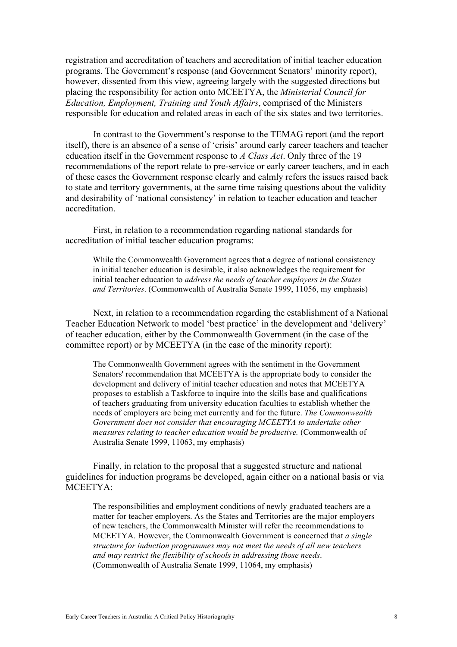registration and accreditation of teachers and accreditation of initial teacher education programs. The Government's response (and Government Senators' minority report), however, dissented from this view, agreeing largely with the suggested directions but placing the responsibility for action onto MCEETYA, the *Ministerial Council for Education, Employment, Training and Youth Affairs*, comprised of the Ministers responsible for education and related areas in each of the six states and two territories.

In contrast to the Government's response to the TEMAG report (and the report itself), there is an absence of a sense of 'crisis' around early career teachers and teacher education itself in the Government response to *A Class Act*. Only three of the 19 recommendations of the report relate to pre-service or early career teachers, and in each of these cases the Government response clearly and calmly refers the issues raised back to state and territory governments, at the same time raising questions about the validity and desirability of 'national consistency' in relation to teacher education and teacher accreditation.

First, in relation to a recommendation regarding national standards for accreditation of initial teacher education programs:

While the Commonwealth Government agrees that a degree of national consistency in initial teacher education is desirable, it also acknowledges the requirement for initial teacher education to *address the needs of teacher employers in the States and Territories*. (Commonwealth of Australia Senate 1999, 11056, my emphasis)

Next, in relation to a recommendation regarding the establishment of a National Teacher Education Network to model 'best practice' in the development and 'delivery' of teacher education, either by the Commonwealth Government (in the case of the committee report) or by MCEETYA (in the case of the minority report):

The Commonwealth Government agrees with the sentiment in the Government Senators' recommendation that MCEETYA is the appropriate body to consider the development and delivery of initial teacher education and notes that MCEETYA proposes to establish a Taskforce to inquire into the skills base and qualifications of teachers graduating from university education faculties to establish whether the needs of employers are being met currently and for the future. *The Commonwealth Government does not consider that encouraging MCEETYA to undertake other measures relating to teacher education would be productive.* (Commonwealth of Australia Senate 1999, 11063, my emphasis)

Finally, in relation to the proposal that a suggested structure and national guidelines for induction programs be developed, again either on a national basis or via MCEETYA:

The responsibilities and employment conditions of newly graduated teachers are a matter for teacher employers. As the States and Territories are the major employers of new teachers, the Commonwealth Minister will refer the recommendations to MCEETYA. However, the Commonwealth Government is concerned that *a single structure for induction programmes may not meet the needs of all new teachers and may restrict the flexibility of schools in addressing those needs*. (Commonwealth of Australia Senate 1999, 11064, my emphasis)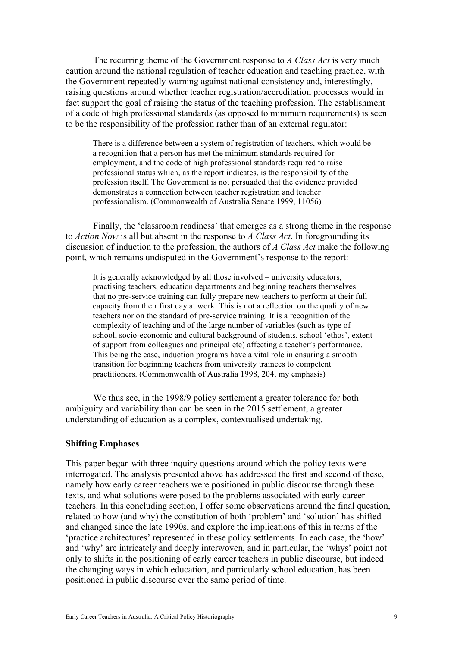The recurring theme of the Government response to *A Class Act* is very much caution around the national regulation of teacher education and teaching practice, with the Government repeatedly warning against national consistency and, interestingly, raising questions around whether teacher registration/accreditation processes would in fact support the goal of raising the status of the teaching profession. The establishment of a code of high professional standards (as opposed to minimum requirements) is seen to be the responsibility of the profession rather than of an external regulator:

There is a difference between a system of registration of teachers, which would be a recognition that a person has met the minimum standards required for employment, and the code of high professional standards required to raise professional status which, as the report indicates, is the responsibility of the profession itself. The Government is not persuaded that the evidence provided demonstrates a connection between teacher registration and teacher professionalism. (Commonwealth of Australia Senate 1999, 11056)

Finally, the 'classroom readiness' that emerges as a strong theme in the response to *Action Now* is all but absent in the response to *A Class Act*. In foregrounding its discussion of induction to the profession, the authors of *A Class Act* make the following point, which remains undisputed in the Government's response to the report:

It is generally acknowledged by all those involved – university educators, practising teachers, education departments and beginning teachers themselves – that no pre-service training can fully prepare new teachers to perform at their full capacity from their first day at work. This is not a reflection on the quality of new teachers nor on the standard of pre-service training. It is a recognition of the complexity of teaching and of the large number of variables (such as type of school, socio-economic and cultural background of students, school 'ethos', extent of support from colleagues and principal etc) affecting a teacher's performance. This being the case, induction programs have a vital role in ensuring a smooth transition for beginning teachers from university trainees to competent practitioners. (Commonwealth of Australia 1998, 204, my emphasis)

We thus see, in the 1998/9 policy settlement a greater tolerance for both ambiguity and variability than can be seen in the 2015 settlement, a greater understanding of education as a complex, contextualised undertaking.

## **Shifting Emphases**

This paper began with three inquiry questions around which the policy texts were interrogated. The analysis presented above has addressed the first and second of these, namely how early career teachers were positioned in public discourse through these texts, and what solutions were posed to the problems associated with early career teachers. In this concluding section, I offer some observations around the final question, related to how (and why) the constitution of both 'problem' and 'solution' has shifted and changed since the late 1990s, and explore the implications of this in terms of the 'practice architectures' represented in these policy settlements. In each case, the 'how' and 'why' are intricately and deeply interwoven, and in particular, the 'whys' point not only to shifts in the positioning of early career teachers in public discourse, but indeed the changing ways in which education, and particularly school education, has been positioned in public discourse over the same period of time.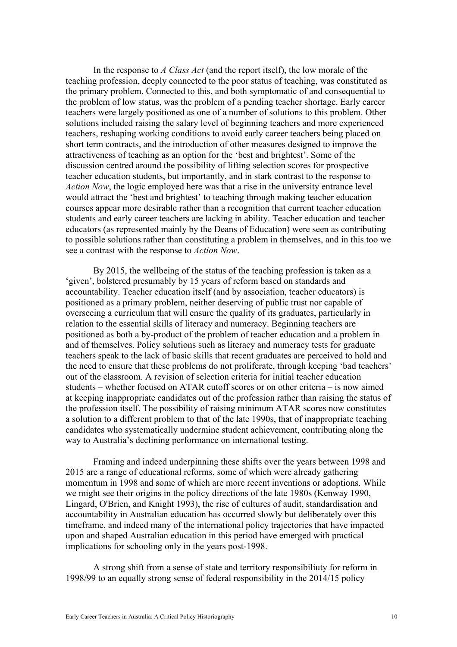In the response to *A Class Act* (and the report itself), the low morale of the teaching profession, deeply connected to the poor status of teaching, was constituted as the primary problem. Connected to this, and both symptomatic of and consequential to the problem of low status, was the problem of a pending teacher shortage. Early career teachers were largely positioned as one of a number of solutions to this problem. Other solutions included raising the salary level of beginning teachers and more experienced teachers, reshaping working conditions to avoid early career teachers being placed on short term contracts, and the introduction of other measures designed to improve the attractiveness of teaching as an option for the 'best and brightest'. Some of the discussion centred around the possibility of lifting selection scores for prospective teacher education students, but importantly, and in stark contrast to the response to *Action Now*, the logic employed here was that a rise in the university entrance level would attract the 'best and brightest' to teaching through making teacher education courses appear more desirable rather than a recognition that current teacher education students and early career teachers are lacking in ability. Teacher education and teacher educators (as represented mainly by the Deans of Education) were seen as contributing to possible solutions rather than constituting a problem in themselves, and in this too we see a contrast with the response to *Action Now*.

By 2015, the wellbeing of the status of the teaching profession is taken as a 'given', bolstered presumably by 15 years of reform based on standards and accountability. Teacher education itself (and by association, teacher educators) is positioned as a primary problem, neither deserving of public trust nor capable of overseeing a curriculum that will ensure the quality of its graduates, particularly in relation to the essential skills of literacy and numeracy. Beginning teachers are positioned as both a by-product of the problem of teacher education and a problem in and of themselves. Policy solutions such as literacy and numeracy tests for graduate teachers speak to the lack of basic skills that recent graduates are perceived to hold and the need to ensure that these problems do not proliferate, through keeping 'bad teachers' out of the classroom. A revision of selection criteria for initial teacher education students – whether focused on ATAR cutoff scores or on other criteria – is now aimed at keeping inappropriate candidates out of the profession rather than raising the status of the profession itself. The possibility of raising minimum ATAR scores now constitutes a solution to a different problem to that of the late 1990s, that of inappropriate teaching candidates who systematically undermine student achievement, contributing along the way to Australia's declining performance on international testing.

Framing and indeed underpinning these shifts over the years between 1998 and 2015 are a range of educational reforms, some of which were already gathering momentum in 1998 and some of which are more recent inventions or adoptions. While we might see their origins in the policy directions of the late 1980s (Kenway 1990, Lingard, O'Brien, and Knight 1993), the rise of cultures of audit, standardisation and accountability in Australian education has occurred slowly but deliberately over this timeframe, and indeed many of the international policy trajectories that have impacted upon and shaped Australian education in this period have emerged with practical implications for schooling only in the years post-1998.

A strong shift from a sense of state and territory responsibiliuty for reform in 1998/99 to an equally strong sense of federal responsibility in the 2014/15 policy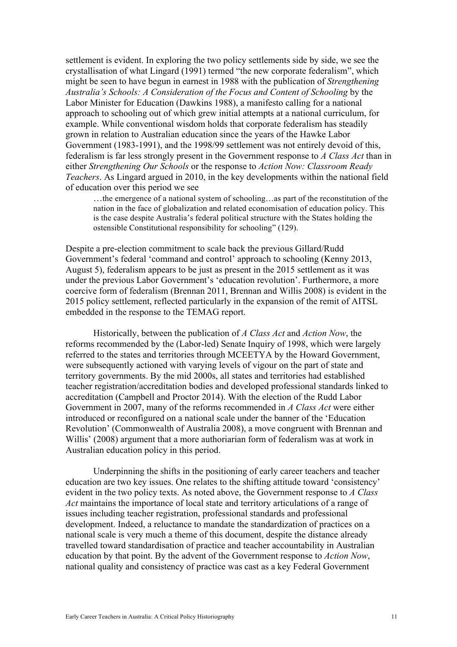settlement is evident. In exploring the two policy settlements side by side, we see the crystallisation of what Lingard (1991) termed "the new corporate federalism", which might be seen to have begun in earnest in 1988 with the publication of *Strengthening Australia's Schools: A Consideration of the Focus and Content of Schooling* by the Labor Minister for Education (Dawkins 1988), a manifesto calling for a national approach to schooling out of which grew initial attempts at a national curriculum, for example. While conventional wisdom holds that corporate federalism has steadily grown in relation to Australian education since the years of the Hawke Labor Government (1983-1991), and the 1998/99 settlement was not entirely devoid of this, federalism is far less strongly present in the Government response to *A Class Act* than in either *Strengthening Our Schools* or the response to *Action Now: Classroom Ready Teachers*. As Lingard argued in 2010, in the key developments within the national field of education over this period we see

…the emergence of a national system of schooling…as part of the reconstitution of the nation in the face of globalization and related economisation of education policy. This is the case despite Australia's federal political structure with the States holding the ostensible Constitutional responsibility for schooling" (129).

Despite a pre-election commitment to scale back the previous Gillard/Rudd Government's federal 'command and control' approach to schooling (Kenny 2013, August 5), federalism appears to be just as present in the 2015 settlement as it was under the previous Labor Government's 'education revolution'. Furthermore, a more coercive form of federalism (Brennan 2011, Brennan and Willis 2008) is evident in the 2015 policy settlement, reflected particularly in the expansion of the remit of AITSL embedded in the response to the TEMAG report.

Historically, between the publication of *A Class Act* and *Action Now*, the reforms recommended by the (Labor-led) Senate Inquiry of 1998, which were largely referred to the states and territories through MCEETYA by the Howard Government, were subsequently actioned with varying levels of vigour on the part of state and territory governments. By the mid 2000s, all states and territories had established teacher registration/accreditation bodies and developed professional standards linked to accreditation (Campbell and Proctor 2014). With the election of the Rudd Labor Government in 2007, many of the reforms recommended in *A Class Act* were either introduced or reconfigured on a national scale under the banner of the 'Education Revolution' (Commonwealth of Australia 2008), a move congruent with Brennan and Willis' (2008) argument that a more authoriarian form of federalism was at work in Australian education policy in this period.

Underpinning the shifts in the positioning of early career teachers and teacher education are two key issues. One relates to the shifting attitude toward 'consistency' evident in the two policy texts. As noted above, the Government response to *A Class Act* maintains the importance of local state and territory articulations of a range of issues including teacher registration, professional standards and professional development. Indeed, a reluctance to mandate the standardization of practices on a national scale is very much a theme of this document, despite the distance already travelled toward standardisation of practice and teacher accountability in Australian education by that point. By the advent of the Government response to *Action Now*, national quality and consistency of practice was cast as a key Federal Government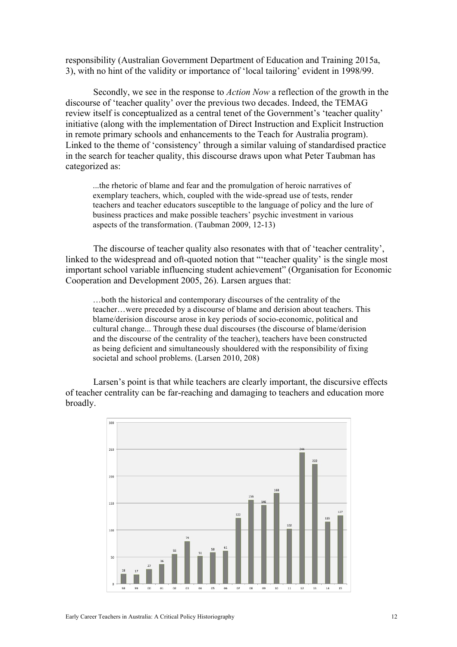responsibility (Australian Government Department of Education and Training 2015a, 3), with no hint of the validity or importance of 'local tailoring' evident in 1998/99.

Secondly, we see in the response to *Action Now* a reflection of the growth in the discourse of 'teacher quality' over the previous two decades. Indeed, the TEMAG review itself is conceptualized as a central tenet of the Government's 'teacher quality' initiative (along with the implementation of Direct Instruction and Explicit Instruction in remote primary schools and enhancements to the Teach for Australia program). Linked to the theme of 'consistency' through a similar valuing of standardised practice in the search for teacher quality, this discourse draws upon what Peter Taubman has categorized as:

...the rhetoric of blame and fear and the promulgation of heroic narratives of exemplary teachers, which, coupled with the wide-spread use of tests, render teachers and teacher educators susceptible to the language of policy and the lure of business practices and make possible teachers' psychic investment in various aspects of the transformation. (Taubman 2009, 12-13)

The discourse of teacher quality also resonates with that of 'teacher centrality', linked to the widespread and oft-quoted notion that "'teacher quality' is the single most important school variable influencing student achievement" (Organisation for Economic Cooperation and Development 2005, 26). Larsen argues that:

…both the historical and contemporary discourses of the centrality of the teacher…were preceded by a discourse of blame and derision about teachers. This blame/derision discourse arose in key periods of socio-economic, political and cultural change... Through these dual discourses (the discourse of blame/derision and the discourse of the centrality of the teacher), teachers have been constructed as being deficient and simultaneously shouldered with the responsibility of fixing societal and school problems. (Larsen 2010, 208)

Larsen's point is that while teachers are clearly important, the discursive effects of teacher centrality can be far-reaching and damaging to teachers and education more broadly.

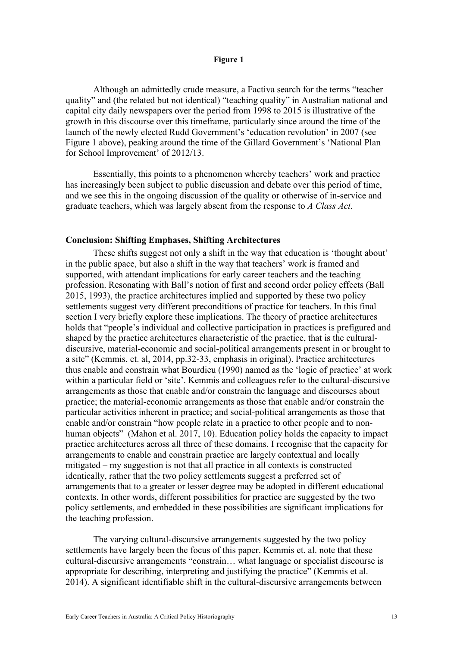#### **Figure 1**

Although an admittedly crude measure, a Factiva search for the terms "teacher quality" and (the related but not identical) "teaching quality" in Australian national and capital city daily newspapers over the period from 1998 to 2015 is illustrative of the growth in this discourse over this timeframe, particularly since around the time of the launch of the newly elected Rudd Government's 'education revolution' in 2007 (see Figure 1 above), peaking around the time of the Gillard Government's 'National Plan for School Improvement' of 2012/13.

Essentially, this points to a phenomenon whereby teachers' work and practice has increasingly been subject to public discussion and debate over this period of time, and we see this in the ongoing discussion of the quality or otherwise of in-service and graduate teachers, which was largely absent from the response to *A Class Act*.

## **Conclusion: Shifting Emphases, Shifting Architectures**

These shifts suggest not only a shift in the way that education is 'thought about' in the public space, but also a shift in the way that teachers' work is framed and supported, with attendant implications for early career teachers and the teaching profession. Resonating with Ball's notion of first and second order policy effects (Ball 2015, 1993), the practice architectures implied and supported by these two policy settlements suggest very different preconditions of practice for teachers. In this final section I very briefly explore these implications. The theory of practice architectures holds that "people's individual and collective participation in practices is prefigured and shaped by the practice architectures characteristic of the practice, that is the culturaldiscursive, material-economic and social-political arrangements present in or brought to a site" (Kemmis, et. al, 2014, pp.32-33, emphasis in original). Practice architectures thus enable and constrain what Bourdieu (1990) named as the 'logic of practice' at work within a particular field or 'site'. Kemmis and colleagues refer to the cultural-discursive arrangements as those that enable and/or constrain the language and discourses about practice; the material-economic arrangements as those that enable and/or constrain the particular activities inherent in practice; and social-political arrangements as those that enable and/or constrain "how people relate in a practice to other people and to nonhuman objects" (Mahon et al. 2017, 10). Education policy holds the capacity to impact practice architectures across all three of these domains. I recognise that the capacity for arrangements to enable and constrain practice are largely contextual and locally mitigated – my suggestion is not that all practice in all contexts is constructed identically, rather that the two policy settlements suggest a preferred set of arrangements that to a greater or lesser degree may be adopted in different educational contexts. In other words, different possibilities for practice are suggested by the two policy settlements, and embedded in these possibilities are significant implications for the teaching profession.

The varying cultural-discursive arrangements suggested by the two policy settlements have largely been the focus of this paper. Kemmis et. al. note that these cultural-discursive arrangements "constrain… what language or specialist discourse is appropriate for describing, interpreting and justifying the practice" (Kemmis et al. 2014). A significant identifiable shift in the cultural-discursive arrangements between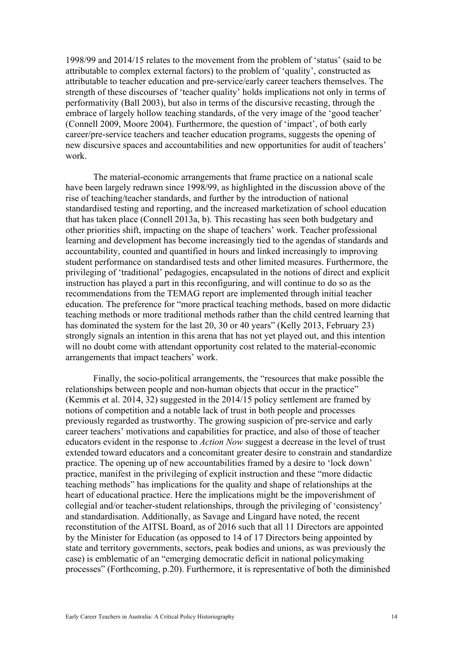1998/99 and 2014/15 relates to the movement from the problem of 'status' (said to be attributable to complex external factors) to the problem of 'quality', constructed as attributable to teacher education and pre-service/early career teachers themselves. The strength of these discourses of 'teacher quality' holds implications not only in terms of performativity (Ball 2003), but also in terms of the discursive recasting, through the embrace of largely hollow teaching standards, of the very image of the 'good teacher' (Connell 2009, Moore 2004). Furthermore, the question of 'impact', of both early career/pre-service teachers and teacher education programs, suggests the opening of new discursive spaces and accountabilities and new opportunities for audit of teachers' work.

The material-economic arrangements that frame practice on a national scale have been largely redrawn since 1998/99, as highlighted in the discussion above of the rise of teaching/teacher standards, and further by the introduction of national standardised testing and reporting, and the increased marketization of school education that has taken place (Connell 2013a, b). This recasting has seen both budgetary and other priorities shift, impacting on the shape of teachers' work. Teacher professional learning and development has become increasingly tied to the agendas of standards and accountability, counted and quantified in hours and linked increasingly to improving student performance on standardised tests and other limited measures. Furthermore, the privileging of 'traditional' pedagogies, encapsulated in the notions of direct and explicit instruction has played a part in this reconfiguring, and will continue to do so as the recommendations from the TEMAG report are implemented through initial teacher education. The preference for "more practical teaching methods, based on more didactic teaching methods or more traditional methods rather than the child centred learning that has dominated the system for the last 20, 30 or 40 years" (Kelly 2013, February 23) strongly signals an intention in this arena that has not yet played out, and this intention will no doubt come with attendant opportunity cost related to the material-economic arrangements that impact teachers' work.

Finally, the socio-political arrangements, the "resources that make possible the relationships between people and non-human objects that occur in the practice" (Kemmis et al. 2014, 32) suggested in the 2014/15 policy settlement are framed by notions of competition and a notable lack of trust in both people and processes previously regarded as trustworthy. The growing suspicion of pre-service and early career teachers' motivations and capabilities for practice, and also of those of teacher educators evident in the response to *Action Now* suggest a decrease in the level of trust extended toward educators and a concomitant greater desire to constrain and standardize practice. The opening up of new accountabilities framed by a desire to 'lock down' practice, manifest in the privileging of explicit instruction and these "more didactic teaching methods" has implications for the quality and shape of relationships at the heart of educational practice. Here the implications might be the impoverishment of collegial and/or teacher-student relationships, through the privileging of 'consistency' and standardisation. Additionally, as Savage and Lingard have noted, the recent reconstitution of the AITSL Board, as of 2016 such that all 11 Directors are appointed by the Minister for Education (as opposed to 14 of 17 Directors being appointed by state and territory governments, sectors, peak bodies and unions, as was previously the case) is emblematic of an "emerging democratic deficit in national policymaking processes" (Forthcoming, p.20). Furthermore, it is representative of both the diminished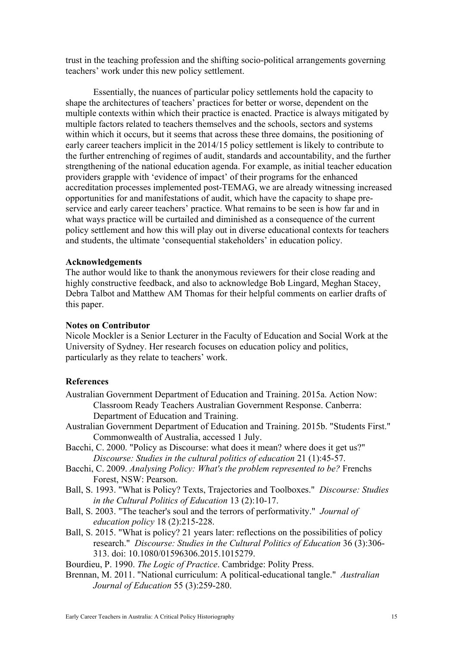trust in the teaching profession and the shifting socio-political arrangements governing teachers' work under this new policy settlement.

Essentially, the nuances of particular policy settlements hold the capacity to shape the architectures of teachers' practices for better or worse, dependent on the multiple contexts within which their practice is enacted. Practice is always mitigated by multiple factors related to teachers themselves and the schools, sectors and systems within which it occurs, but it seems that across these three domains, the positioning of early career teachers implicit in the 2014/15 policy settlement is likely to contribute to the further entrenching of regimes of audit, standards and accountability, and the further strengthening of the national education agenda. For example, as initial teacher education providers grapple with 'evidence of impact' of their programs for the enhanced accreditation processes implemented post-TEMAG, we are already witnessing increased opportunities for and manifestations of audit, which have the capacity to shape preservice and early career teachers' practice. What remains to be seen is how far and in what ways practice will be curtailed and diminished as a consequence of the current policy settlement and how this will play out in diverse educational contexts for teachers and students, the ultimate 'consequential stakeholders' in education policy.

## **Acknowledgements**

The author would like to thank the anonymous reviewers for their close reading and highly constructive feedback, and also to acknowledge Bob Lingard, Meghan Stacey, Debra Talbot and Matthew AM Thomas for their helpful comments on earlier drafts of this paper.

## **Notes on Contributor**

Nicole Mockler is a Senior Lecturer in the Faculty of Education and Social Work at the University of Sydney. Her research focuses on education policy and politics, particularly as they relate to teachers' work.

#### **References**

- Australian Government Department of Education and Training. 2015a. Action Now: Classroom Ready Teachers Australian Government Response. Canberra: Department of Education and Training.
- Australian Government Department of Education and Training. 2015b. "Students First." Commonwealth of Australia, accessed 1 July.
- Bacchi, C. 2000. "Policy as Discourse: what does it mean? where does it get us?" *Discourse: Studies in the cultural politics of education* 21 (1):45-57.
- Bacchi, C. 2009. *Analysing Policy: What's the problem represented to be?* Frenchs Forest, NSW: Pearson.
- Ball, S. 1993. "What is Policy? Texts, Trajectories and Toolboxes." *Discourse: Studies in the Cultural Politics of Education* 13 (2):10-17.
- Ball, S. 2003. "The teacher's soul and the terrors of performativity." *Journal of education policy* 18 (2):215-228.
- Ball, S. 2015. "What is policy? 21 years later: reflections on the possibilities of policy research." *Discourse: Studies in the Cultural Politics of Education* 36 (3):306- 313. doi: 10.1080/01596306.2015.1015279.

Bourdieu, P. 1990. *The Logic of Practice*. Cambridge: Polity Press.

Brennan, M. 2011. "National curriculum: A political-educational tangle." *Australian Journal of Education* 55 (3):259-280.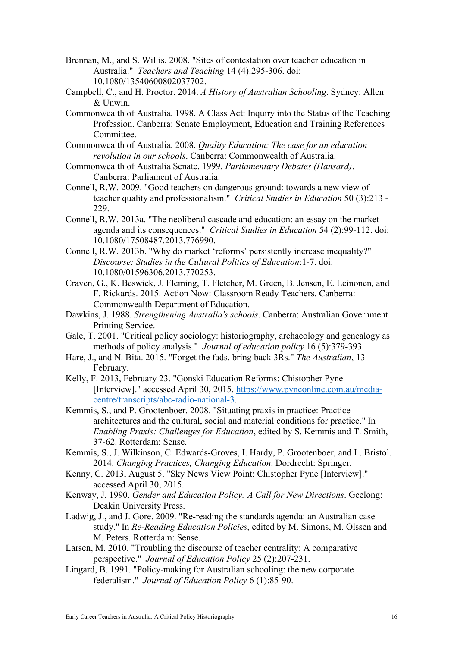- Brennan, M., and S. Willis. 2008. "Sites of contestation over teacher education in Australia." *Teachers and Teaching* 14 (4):295-306. doi: 10.1080/13540600802037702.
- Campbell, C., and H. Proctor. 2014. *A History of Australian Schooling*. Sydney: Allen & Unwin.
- Commonwealth of Australia. 1998. A Class Act: Inquiry into the Status of the Teaching Profession. Canberra: Senate Employment, Education and Training References Committee.
- Commonwealth of Australia. 2008. *Quality Education: The case for an education revolution in our schools*. Canberra: Commonwealth of Australia.
- Commonwealth of Australia Senate. 1999. *Parliamentary Debates (Hansard)*. Canberra: Parliament of Australia.
- Connell, R.W. 2009. "Good teachers on dangerous ground: towards a new view of teacher quality and professionalism." *Critical Studies in Education* 50 (3):213 - 229.
- Connell, R.W. 2013a. "The neoliberal cascade and education: an essay on the market agenda and its consequences." *Critical Studies in Education* 54 (2):99-112. doi: 10.1080/17508487.2013.776990.
- Connell, R.W. 2013b. "Why do market 'reforms' persistently increase inequality?" *Discourse: Studies in the Cultural Politics of Education*:1-7. doi: 10.1080/01596306.2013.770253.
- Craven, G., K. Beswick, J. Fleming, T. Fletcher, M. Green, B. Jensen, E. Leinonen, and F. Rickards. 2015. Action Now: Classroom Ready Teachers. Canberra: Commonwealth Department of Education.
- Dawkins, J. 1988. *Strengthening Australia's schools*. Canberra: Australian Government Printing Service.
- Gale, T. 2001. "Critical policy sociology: historiography, archaeology and genealogy as methods of policy analysis." *Journal of education policy* 16 (5):379-393.
- Hare, J., and N. Bita. 2015. "Forget the fads, bring back 3Rs." *The Australian*, 13 February.
- Kelly, F. 2013, February 23. "Gonski Education Reforms: Chistopher Pyne [Interview]." accessed April 30, 2015. https://www.pyneonline.com.au/mediacentre/transcripts/abc-radio-national-3.
- Kemmis, S., and P. Grootenboer. 2008. "Situating praxis in practice: Practice architectures and the cultural, social and material conditions for practice." In *Enabling Praxis: Challenges for Education*, edited by S. Kemmis and T. Smith, 37-62. Rotterdam: Sense.
- Kemmis, S., J. Wilkinson, C. Edwards-Groves, I. Hardy, P. Grootenboer, and L. Bristol. 2014. *Changing Practices, Changing Education*. Dordrecht: Springer.
- Kenny, C. 2013, August 5. "Sky News View Point: Chistopher Pyne [Interview]." accessed April 30, 2015.
- Kenway, J. 1990. *Gender and Education Policy: A Call for New Directions*. Geelong: Deakin University Press.
- Ladwig, J., and J. Gore. 2009. "Re-reading the standards agenda: an Australian case study." In *Re-Reading Education Policies*, edited by M. Simons, M. Olssen and M. Peters. Rotterdam: Sense.
- Larsen, M. 2010. "Troubling the discourse of teacher centrality: A comparative perspective." *Journal of Education Policy* 25 (2):207-231.
- Lingard, B. 1991. "Policy-making for Australian schooling: the new corporate federalism." *Journal of Education Policy* 6 (1):85-90.